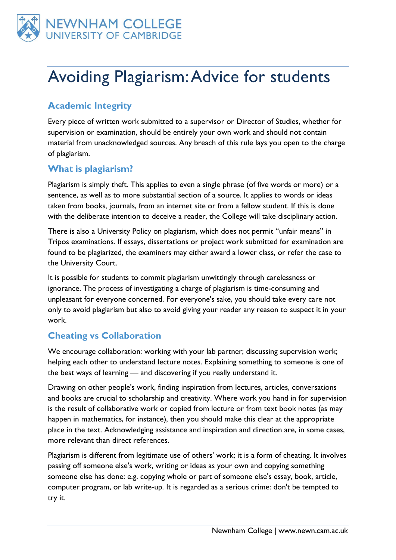

# Avoiding Plagiarism: Advice for students

# **Academic Integrity**

Every piece of written work submitted to a supervisor or Director of Studies, whether for supervision or examination, should be entirely your own work and should not contain material from unacknowledged sources. Any breach of this rule lays you open to the charge of plagiarism.

### **What is plagiarism?**

Plagiarism is simply theft. This applies to even a single phrase (of five words or more) or a sentence, as well as to more substantial section of a source. It applies to words or ideas taken from books, journals, from an internet site or from a fellow student. If this is done with the deliberate intention to deceive a reader, the College will take disciplinary action.

There is also a University Policy on plagiarism, which does not permit "unfair means" in Tripos examinations. If essays, dissertations or project work submitted for examination are found to be plagiarized, the examiners may either award a lower class, or refer the case to the University Court.

It is possible for students to commit plagiarism unwittingly through carelessness or ignorance. The process of investigating a charge of plagiarism is time-consuming and unpleasant for everyone concerned. For everyone's sake, you should take every care not only to avoid plagiarism but also to avoid giving your reader any reason to suspect it in your work.

# **Cheating vs Collaboration**

We encourage collaboration: working with your lab partner; discussing supervision work; helping each other to understand lecture notes. Explaining something to someone is one of the best ways of learning — and discovering if you really understand it.

Drawing on other people's work, finding inspiration from lectures, articles, conversations and books are crucial to scholarship and creativity. Where work you hand in for supervision is the result of collaborative work or copied from lecture or from text book notes (as may happen in mathematics, for instance), then you should make this clear at the appropriate place in the text. Acknowledging assistance and inspiration and direction are, in some cases, more relevant than direct references.

Plagiarism is different from legitimate use of others' work; it is a form of cheating. It involves passing off someone else's work, writing or ideas as your own and copying something someone else has done: e.g. copying whole or part of someone else's essay, book, article, computer program, or lab write-up. It is regarded as a serious crime: don't be tempted to try it.